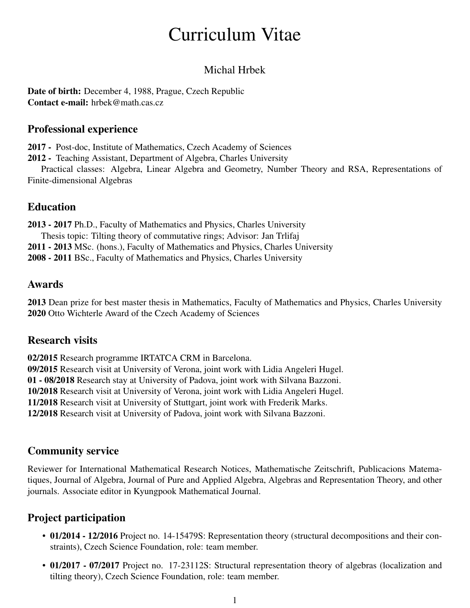# Curriculum Vitae

## Michal Hrbek

Date of birth: December 4, 1988, Prague, Czech Republic Contact e-mail: hrbek@math.cas.cz

#### Professional experience

2017 - Post-doc, Institute of Mathematics, Czech Academy of Sciences

2012 - Teaching Assistant, Department of Algebra, Charles University

Practical classes: Algebra, Linear Algebra and Geometry, Number Theory and RSA, Representations of Finite-dimensional Algebras

### Education

2013 - 2017 Ph.D., Faculty of Mathematics and Physics, Charles University Thesis topic: Tilting theory of commutative rings; Advisor: Jan Trlifaj 2011 - 2013 MSc. (hons.), Faculty of Mathematics and Physics, Charles University 2008 - 2011 BSc., Faculty of Mathematics and Physics, Charles University

### Awards

2013 Dean prize for best master thesis in Mathematics, Faculty of Mathematics and Physics, Charles University 2020 Otto Wichterle Award of the Czech Academy of Sciences

### Research visits

02/2015 Research programme IRTATCA CRM in Barcelona.

09/2015 Research visit at University of Verona, joint work with Lidia Angeleri Hugel.

01 - 08/2018 Research stay at University of Padova, joint work with Silvana Bazzoni.

10/2018 Research visit at University of Verona, joint work with Lidia Angeleri Hugel.

11/2018 Research visit at University of Stuttgart, joint work with Frederik Marks.

12/2018 Research visit at University of Padova, joint work with Silvana Bazzoni.

### Community service

Reviewer for International Mathematical Research Notices, Mathematische Zeitschrift, Publicacions Matematiques, Journal of Algebra, Journal of Pure and Applied Algebra, Algebras and Representation Theory, and other journals. Associate editor in Kyungpook Mathematical Journal.

## Project participation

- 01/2014 12/2016 Project no. 14-15479S: Representation theory (structural decompositions and their constraints), Czech Science Foundation, role: team member.
- 01/2017 07/2017 Project no. 17-23112S: Structural representation theory of algebras (localization and tilting theory), Czech Science Foundation, role: team member.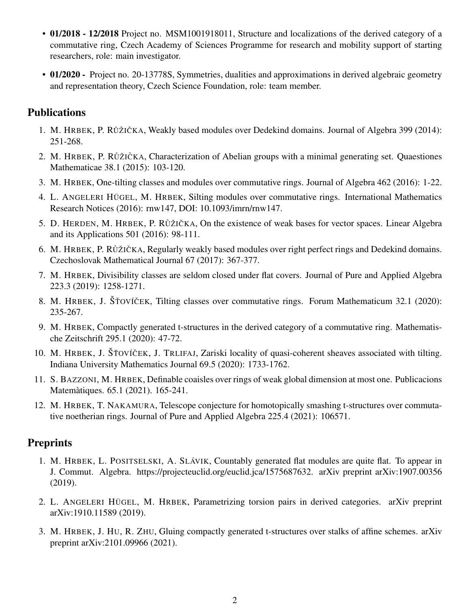- 01/2018 12/2018 Project no. MSM1001918011, Structure and localizations of the derived category of a commutative ring, Czech Academy of Sciences Programme for research and mobility support of starting researchers, role: main investigator.
- 01/2020 Project no. 20-13778S, Symmetries, dualities and approximations in derived algebraic geometry and representation theory, Czech Science Foundation, role: team member.

#### Publications

- 1. M. HRBEK, P. RŮŽIČKA, Weakly based modules over Dedekind domains. Journal of Algebra 399 (2014): 251-268.
- 2. M. HRBEK, P. RŮŽIČKA, Characterization of Abelian groups with a minimal generating set. Quaestiones Mathematicae 38.1 (2015): 103-120.
- 3. M. HRBEK, One-tilting classes and modules over commutative rings. Journal of Algebra 462 (2016): 1-22.
- 4. L. ANGELERI HÜGEL, M. HRBEK, Silting modules over commutative rings. International Mathematics Research Notices (2016): rnw147, DOI: 10.1093/imrn/rnw147.
- 5. D. HERDEN, M. HRBEK, P. RŮŽIČKA, On the existence of weak bases for vector spaces. Linear Algebra and its Applications 501 (2016): 98-111.
- 6. M. HRBEK, P. RŮŽIČKA, Regularly weakly based modules over right perfect rings and Dedekind domains. Czechoslovak Mathematical Journal 67 (2017): 367-377.
- 7. M. HRBEK, Divisibility classes are seldom closed under flat covers. Journal of Pure and Applied Algebra 223.3 (2019): 1258-1271.
- 8. M. HRBEK, J. ŠŤOVÍČEK, Tilting classes over commutative rings. Forum Mathematicum 32.1 (2020): 235-267.
- 9. M. HRBEK, Compactly generated t-structures in the derived category of a commutative ring. Mathematische Zeitschrift 295.1 (2020): 47-72.
- 10. M. HRBEK, J. ŠŤOVÍČEK, J. TRLIFAJ, Zariski locality of quasi-coherent sheaves associated with tilting. Indiana University Mathematics Journal 69.5 (2020): 1733-1762.
- 11. S. BAZZONI, M. HRBEK, Definable coaisles over rings of weak global dimension at most one. Publicacions Matemàtiques. 65.1 (2021). 165-241.
- 12. M. HRBEK, T. NAKAMURA, Telescope conjecture for homotopically smashing t-structures over commutative noetherian rings. Journal of Pure and Applied Algebra 225.4 (2021): 106571.

#### **Preprints**

- 1. M. HRBEK, L. POSITSELSKI, A. SLÁVIK, Countably generated flat modules are quite flat. To appear in J. Commut. Algebra. https://projecteuclid.org/euclid.jca/1575687632. arXiv preprint arXiv:1907.00356 (2019).
- 2. L. ANGELERI HÜGEL, M. HRBEK, Parametrizing torsion pairs in derived categories. arXiv preprint arXiv:1910.11589 (2019).
- 3. M. HRBEK, J. HU, R. ZHU, Gluing compactly generated t-structures over stalks of affine schemes. arXiv preprint arXiv:2101.09966 (2021).